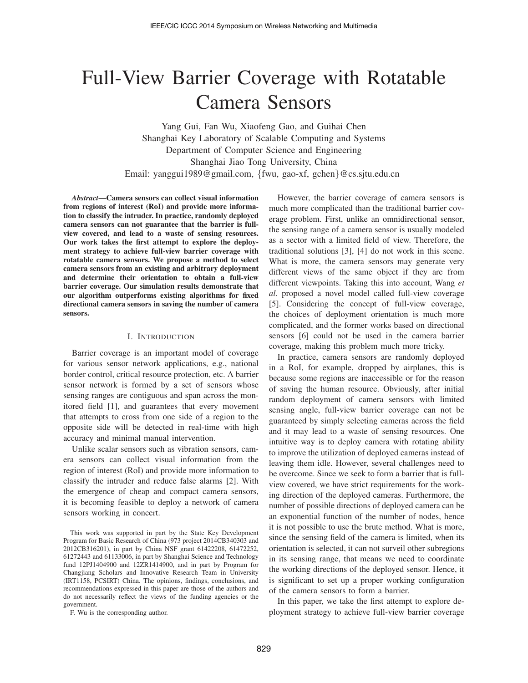# Full-View Barrier Coverage with Rotatable Camera Sensors

Yang Gui, Fan Wu, Xiaofeng Gao, and Guihai Chen Shanghai Key Laboratory of Scalable Computing and Systems Department of Computer Science and Engineering Shanghai Jiao Tong University, China Email: yanggui1989@gmail.com, {fwu, gao-xf, gchen}@cs.sjtu.edu.cn

*Abstract*—Camera sensors can collect visual information from regions of interest (RoI) and provide more information to classify the intruder. In practice, randomly deployed camera sensors can not guarantee that the barrier is fullview covered, and lead to a waste of sensing resources. Our work takes the first attempt to explore the deployment strategy to achieve full-view barrier coverage with rotatable camera sensors. We propose a method to select camera sensors from an existing and arbitrary deployment and determine their orientation to obtain a full-view barrier coverage. Our simulation results demonstrate that our algorithm outperforms existing algorithms for fixed directional camera sensors in saving the number of camera sensors.

# I. INTRODUCTION

Barrier coverage is an important model of coverage for various sensor network applications, e.g., national border control, critical resource protection, etc. A barrier sensor network is formed by a set of sensors whose sensing ranges are contiguous and span across the monitored field [1], and guarantees that every movement that attempts to cross from one side of a region to the opposite side will be detected in real-time with high accuracy and minimal manual intervention.

Unlike scalar sensors such as vibration sensors, camera sensors can collect visual information from the region of interest (RoI) and provide more information to classify the intruder and reduce false alarms [2]. With the emergence of cheap and compact camera sensors, it is becoming feasible to deploy a network of camera sensors working in concert.

However, the barrier coverage of camera sensors is much more complicated than the traditional barrier coverage problem. First, unlike an omnidirectional sensor, the sensing range of a camera sensor is usually modeled as a sector with a limited field of view. Therefore, the traditional solutions [3], [4] do not work in this scene. What is more, the camera sensors may generate very different views of the same object if they are from different viewpoints. Taking this into account, Wang *et al.* proposed a novel model called full-view coverage [5]. Considering the concept of full-view coverage, the choices of deployment orientation is much more complicated, and the former works based on directional sensors [6] could not be used in the camera barrier coverage, making this problem much more tricky.

In practice, camera sensors are randomly deployed in a RoI, for example, dropped by airplanes, this is because some regions are inaccessible or for the reason of saving the human resource. Obviously, after initial random deployment of camera sensors with limited sensing angle, full-view barrier coverage can not be guaranteed by simply selecting cameras across the field and it may lead to a waste of sensing resources. One intuitive way is to deploy camera with rotating ability to improve the utilization of deployed cameras instead of leaving them idle. However, several challenges need to be overcome. Since we seek to form a barrier that is fullview covered, we have strict requirements for the working direction of the deployed cameras. Furthermore, the number of possible directions of deployed camera can be an exponential function of the number of nodes, hence it is not possible to use the brute method. What is more, since the sensing field of the camera is limited, when its orientation is selected, it can not surveil other subregions in its sensing range, that means we need to coordinate the working directions of the deployed sensor. Hence, it is significant to set up a proper working configuration of the camera sensors to form a barrier.

In this paper, we take the first attempt to explore deployment strategy to achieve full-view barrier coverage

This work was supported in part by the State Key Development Program for Basic Research of China (973 project 2014CB340303 and 2012CB316201), in part by China NSF grant 61422208, 61472252, 61272443 and 61133006, in part by Shanghai Science and Technology fund 12PJ1404900 and 12ZR1414900, and in part by Program for Changjiang Scholars and Innovative Research Team in University (IRT1158, PCSIRT) China. The opinions, findings, conclusions, and recommendations expressed in this paper are those of the authors and do not necessarily reflect the views of the funding agencies or the government.

F. Wu is the corresponding author.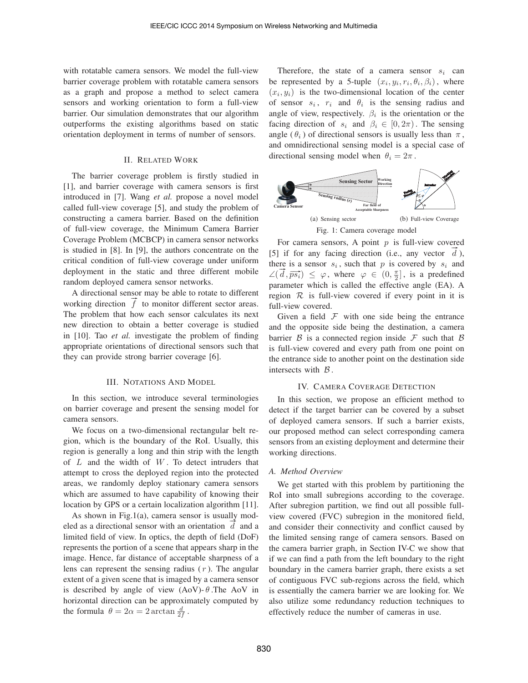with rotatable camera sensors. We model the full-view barrier coverage problem with rotatable camera sensors as a graph and propose a method to select camera sensors and working orientation to form a full-view barrier. Our simulation demonstrates that our algorithm outperforms the existing algorithms based on static orientation deployment in terms of number of sensors.

# II. RELATED WORK

The barrier coverage problem is firstly studied in [1], and barrier coverage with camera sensors is first introduced in [7]. Wang *et al.* propose a novel model called full-view coverage [5], and study the problem of constructing a camera barrier. Based on the definition of full-view coverage, the Minimum Camera Barrier Coverage Problem (MCBCP) in camera sensor networks is studied in [8]. In [9], the authors concentrate on the critical condition of full-view coverage under uniform deployment in the static and three different mobile random deployed camera sensor networks.

A directional sensor may be able to rotate to different working direction  $\hat{f}$  to monitor different sector areas. The problem that how each sensor calculates its next new direction to obtain a better coverage is studied in [10]. Tao *et al.* investigate the problem of finding appropriate orientations of directional sensors such that they can provide strong barrier coverage [6].

## III. NOTATIONS AND MODEL

In this section, we introduce several terminologies on barrier coverage and present the sensing model for camera sensors.

We focus on a two-dimensional rectangular belt region, which is the boundary of the RoI. Usually, this region is generally a long and thin strip with the length of  $L$  and the width of  $W$ . To detect intruders that attempt to cross the deployed region into the protected areas, we randomly deploy stationary camera sensors which are assumed to have capability of knowing their location by GPS or a certain localization algorithm [11].

As shown in Fig.1(a), camera sensor is usually modeled as a directional sensor with an orientation  $d$  and a limited field of view. In optics, the depth of field (DoF) represents the portion of a scene that appears sharp in the image. Hence, far distance of acceptable sharpness of a lens can represent the sensing radius  $(r)$ . The angular extent of a given scene that is imaged by a camera sensor is described by angle of view  $(AoV)$ - $\theta$ . The AoV in horizontal direction can be approximately computed by the formula  $\theta = 2\alpha = 2 \arctan \frac{d}{2f}$ .

Therefore, the state of a camera sensor  $s_i$  can be represented by a 5-tuple  $(x_i, y_i, r_i, \theta_i, \beta_i)$ , where  $(x_i, y_i)$  is the two-dimensional location of the center of sensor  $s_i$ ,  $r_i$  and  $\theta_i$  is the sensing radius and angle of view, respectively.  $\beta_i$  is the orientation or the facing direction of  $s_i$  and  $\beta_i \in [0, 2\pi)$ . The sensing angle ( $\theta_i$ ) of directional sensors is usually less than  $\pi$ , and omnidirectional sensing model is a special case of directional sensing model when  $\theta_i = 2\pi$ .



For camera sensors, A point  $p$  is full-view covered [5] if for any facing direction (i.e., any vector  $d$ ), there is a sensor  $s_i$ , such that p is covered by  $s_i$  and there is a sensor  $s_i$ , such that p is covered by  $s_i$  and  $\angle(\vec{d}, \vec{ps_i}) \leq \varphi$ , where  $\varphi \in (0, \frac{\pi}{2}]$ , is a predefined parameter which is called the effective angle (EA). A region  $\mathcal R$  is full-view covered if every point in it is full-view covered.

Given a field  $F$  with one side being the entrance and the opposite side being the destination, a camera barrier  $\beta$  is a connected region inside  $\mathcal F$  such that  $\beta$ is full-view covered and every path from one point on the entrance side to another point on the destination side intersects with  $\beta$ .

# IV. CAMERA COVERAGE DETECTION

In this section, we propose an efficient method to detect if the target barrier can be covered by a subset of deployed camera sensors. If such a barrier exists, our proposed method can select corresponding camera sensors from an existing deployment and determine their working directions.

## *A. Method Overview*

We get started with this problem by partitioning the RoI into small subregions according to the coverage. After subregion partition, we find out all possible fullview covered (FVC) subregion in the monitored field, and consider their connectivity and conflict caused by the limited sensing range of camera sensors. Based on the camera barrier graph, in Section IV-C we show that if we can find a path from the left boundary to the right boundary in the camera barrier graph, there exists a set of contiguous FVC sub-regions across the field, which is essentially the camera barrier we are looking for. We also utilize some redundancy reduction techniques to effectively reduce the number of cameras in use.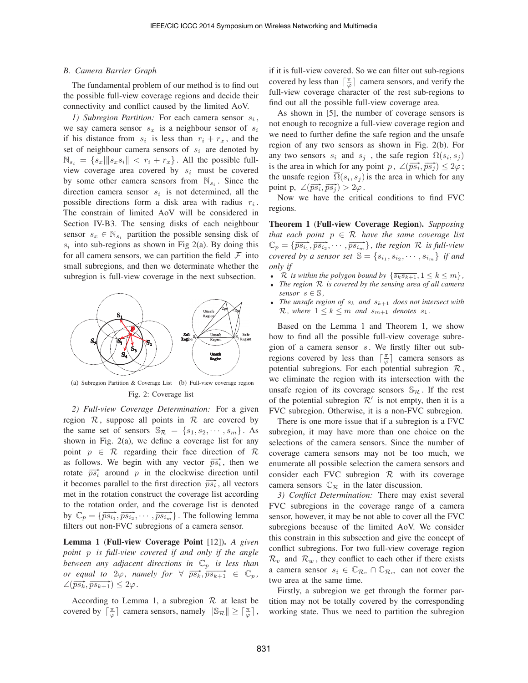# *B. Camera Barrier Graph*

The fundamental problem of our method is to find out the possible full-view coverage regions and decide their connectivity and conflict caused by the limited AoV.

1) Subregion Partition: For each camera sensor  $s_i$ , we say camera sensor  $s_x$  is a neighbour sensor of  $s_i$ if his distance from  $s_i$  is less than  $r_i + r_x$ , and the set of neighbour camera sensors of  $s_i$  are denoted by  $\mathbb{N}_{s_i} = \{s_x \mid ||s_x s_i|| < r_i + r_x\}$ . All the possible fullview coverage area covered by  $s_i$  must be covered by some other camera sensors from  $\mathbb{N}_{s_i}$ . Since the direction camera sensor  $s_i$  is not determined, all the possible directions form a disk area with radius  $r_i$ . The constrain of limited AoV will be considered in Section IV-B3. The sensing disks of each neighbour sensor  $s_x \in \mathbb{N}_{s_i}$  partition the possible sensing disk of  $s_i$  into sub-regions as shown in Fig 2(a). By doing this for all camera sensors, we can partition the field  $\mathcal F$  into small subregions, and then we determinate whether the subregion is full-view coverage in the next subsection.



(a) Subregion Partition & Coverage List (b) Full-view coverage region Fig. 2: Coverage list

*2) Full-view Coverage Determination:* For a given region  $R$ , suppose all points in  $R$  are covered by the same set of sensors  $\mathbb{S}_{\mathcal{R}} = \{s_1, s_2, \cdots, s_m\}$ . As shown in Fig. 2(a), we define a coverage list for any point  $p \in \mathcal{R}$  regarding their face direction of  $\mathcal{R}$ as follows. We begin with any vector  $\overline{ps_i}$ , then we rotate  $\overrightarrow{ps_i}$  around p in the clockwise direction until it becomes parallel to the first direction  $\overline{ps_i}$ , all vectors met in the rotation construct the coverage list according to the rotation order, and the coverage list is denoted by  $\mathbb{C}_p = {\overline{p s_{i_1}, \overline{p s_{i_2}, \dots, p s_{i_m}}}$ . The following lemma filters out non-FVC subregions of a camera sensor.

Lemma 1 (Full-view Coverage Point [12]). *A given point* p *is full-view covered if and only if the angle between any adjacent directions in*  $\mathbb{C}_p$  *is less than or equal to*  $2\varphi$ *, namely for*  $\forall \overline{ps_k}, \overline{ps_{k+1}} \in \mathbb{C}_p$ *,*  $\angle(\overrightarrow{ps_k}, \overrightarrow{ps_{k+1}}) \leq 2\varphi.$ 

According to Lemma 1, a subregion  $\mathcal R$  at least be covered by  $\lceil \frac{\pi}{\varphi} \rceil$  camera sensors, namely  $\|\mathbb{S}_{\mathcal{R}}\| \geq \lceil \frac{\pi}{\varphi} \rceil$ , if it is full-view covered. So we can filter out sub-regions covered by less than  $\lceil \frac{\pi}{\varphi} \rceil$  camera sensors, and verify the full-view coverage character of the rest sub-regions to find out all the possible full-view coverage area.

As shown in [5], the number of coverage sensors is not enough to recognize a full-view coverage region and we need to further define the safe region and the unsafe region of any two sensors as shown in Fig. 2(b). For any two sensors  $s_i$  and  $s_j$ , the safe region  $\Omega(s_i, s_j)$ is the area in which for any point  $p$ ,  $\angle(p\vec{s_i}, \vec{ps_j}) \leq 2\varphi$ ; the unsafe region  $\Omega(s_i, s_j)$  is the area in which for any point p,  $\angle(\overrightarrow{ps_i}, \overrightarrow{ps_j}) > 2\varphi$ .

Now we have the critical conditions to find FVC regions.

Theorem 1 (Full-view Coverage Region). *Supposing that each point*  $p \in \mathcal{R}$  *have the same coverage list*  $\mathbb{C}_p = \{\overline{ps_{i_1}}, \overline{ps_{i_2}}, \cdots, \overline{ps_{i_m}}\}$ , the region R is full-view *covered by a sensor set*  $\mathbb{S} = \{s_{i_1}, s_{i_2}, \cdots, s_{i_m}\}\$  *if and only if*

- $\mathcal{R}$  *is within the polygon bound by*  $\{\overline{s_k s_{k+1}}, 1 \leq k \leq m\}$ ,
- *The region* R *is covered by the sensing area of all camera sensor*  $s \in \mathbb{S}$ *,*
- The unsafe region of  $s_k$  and  $s_{k+1}$  does not intersect with  $\mathcal{R}$ *, where*  $1 \leq k \leq m$  *and*  $s_{m+1}$  *denotes*  $s_1$ *.*

Based on the Lemma 1 and Theorem 1, we show how to find all the possible full-view coverage subregion of a camera sensor  $s$ . We firstly filter out subregions covered by less than  $\lceil \frac{\pi}{\varphi} \rceil$  camera sensors as potential subregions. For each potential subregion  $\mathcal{R}$ , we eliminate the region with its intersection with the unsafe region of its coverage sensors  $\mathbb{S}_{\mathcal{R}}$ . If the rest of the potential subregion  $\mathcal{R}'$  is not empty, then it is a FVC subregion. Otherwise, it is a non-FVC subregion.

There is one more issue that if a subregion is a FVC subregion, it may have more than one choice on the selections of the camera sensors. Since the number of coverage camera sensors may not be too much, we enumerate all possible selection the camera sensors and consider each FVC subregion  $R$  with its coverage camera sensors  $\mathbb{C}_{R}$  in the later discussion.

*3) Conflict Determination:* There may exist several FVC subregions in the coverage range of a camera sensor, however, it may be not able to cover all the FVC subregions because of the limited AoV. We consider this constrain in this subsection and give the concept of conflict subregions. For two full-view coverage region  $\mathcal{R}_v$  and  $\mathcal{R}_w$ , they conflict to each other if there exists a camera sensor  $s_i \in \mathbb{C}_{\mathcal{R}_v} \cap \mathbb{C}_{\mathcal{R}_w}$  can not cover the two area at the same time.

Firstly, a subregion we get through the former partition may not be totally covered by the corresponding working state. Thus we need to partition the subregion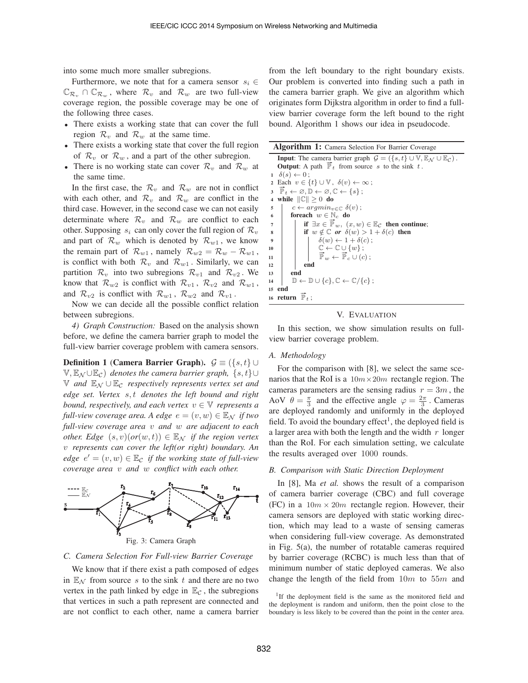into some much more smaller subregions.

Furthermore, we note that for a camera sensor  $s_i \in$  $\mathbb{C}_{\mathcal{R}_{w}} \cap \mathbb{C}_{\mathcal{R}_{w}}$ , where  $\mathcal{R}_{v}$  and  $\mathcal{R}_{w}$  are two full-view coverage region, the possible coverage may be one of the following three cases.

- There exists a working state that can cover the full region  $\mathcal{R}_v$  and  $\mathcal{R}_w$  at the same time.
- There exists a working state that cover the full region of  $\mathcal{R}_v$  or  $\mathcal{R}_w$ , and a part of the other subregion.
- There is no working state can cover  $\mathcal{R}_v$  and  $\mathcal{R}_w$  at the same time.

In the first case, the  $\mathcal{R}_v$  and  $\mathcal{R}_w$  are not in conflict with each other, and  $\mathcal{R}_v$  and  $\mathcal{R}_w$  are conflict in the third case. However, in the second case we can not easily determinate where  $\mathcal{R}_v$  and  $\mathcal{R}_w$  are conflict to each other. Supposing  $s_i$  can only cover the full region of  $\mathcal{R}_v$ and part of  $\mathcal{R}_w$  which is denoted by  $\mathcal{R}_{w1}$ , we know the remain part of  $\mathcal{R}_{w1}$ , namely  $\mathcal{R}_{w2} = \mathcal{R}_{w} - \mathcal{R}_{w1}$ , is conflict with both  $\mathcal{R}_v$  and  $\mathcal{R}_{w1}$ . Similarly, we can partition  $\mathcal{R}_v$  into two subregions  $\mathcal{R}_{v1}$  and  $\mathcal{R}_{v2}$ . We know that  $\mathcal{R}_{w2}$  is conflict with  $\mathcal{R}_{v1}$ ,  $\mathcal{R}_{v2}$  and  $\mathcal{R}_{w1}$ , and  $\mathcal{R}_{v2}$  is conflict with  $\mathcal{R}_{w1}$ ,  $\mathcal{R}_{w2}$  and  $\mathcal{R}_{v1}$ .

Now we can decide all the possible conflict relation between subregions.

*4) Graph Construction:* Based on the analysis shown before, we define the camera barrier graph to model the full-view barrier coverage problem with camera sensors.

**Definition 1 (Camera Barrier Graph).**  $\mathcal{G} \equiv (\{s, t\} \cup \mathcal{G})$  $\mathbb{V}, \mathbb{E}_{\mathcal{N}} \cup \mathbb{E}_{\mathcal{C}}$ ) *denotes the camera barrier graph,*  $\{s, t\} \cup$ V *and* E<sup>N</sup> ∪ E<sup>C</sup> *respectively represents vertex set and edge set. Vertex* s, t *denotes the left bound and right bound, respectively, and each vertex*  $v \in V$  *represents a full-view coverage area. A edge*  $e = (v, w) \in \mathbb{E}_{\mathcal{N}}$  *if two full-view coverage area* v *and* w *are adjacent to each other. Edge*  $(s, v)(or(w, t)) \in \mathbb{E}_{\mathcal{N}}$  *if the region vertex* v *represents can cover the left(or right) boundary. An*  $edge e' = (v, w) \in \mathbb{E}_{\mathcal{C}}$  *if the working state of full-view coverage area* v *and* w *conflict with each other.*



#### *C. Camera Selection For Full-view Barrier Coverage*

We know that if there exist a path composed of edges in  $\mathbb{E}_N$  from source s to the sink t and there are no two vertex in the path linked by edge in  $\mathbb{E}_{\mathcal{C}}$ , the subregions that vertices in such a path represent are connected and are not conflict to each other, name a camera barrier

from the left boundary to the right boundary exists. Our problem is converted into finding such a path in the camera barrier graph. We give an algorithm which originates form Dijkstra algorithm in order to find a fullview barrier coverage form the left bound to the right bound. Algorithm 1 shows our idea in pseudocode.

Algorithm 1: Camera Selection For Barrier Coverage

**Input:** The camera barrier graph  $\mathcal{G} = (\{s, t\} \cup \mathbb{V}, \mathbb{E}_{\mathcal{N}} \cup \mathbb{E}_{\mathcal{C}})$ . **Output:** A path  $\overline{P}_t$  from source s to the sink t.  $1 \quad \delta(s) \leftarrow 0$ ; 2 Each  $v \in \{t\} \cup \mathbb{V}$ ,  $\delta(v) \leftarrow \infty$ ; 2 Each  $v \in \{t\} \cup \mathbb{V}$ ,  $o(v) \leftarrow \{s\}$ <br>3  $\overrightarrow{\mathbb{P}}_t \leftarrow \emptyset, \mathbb{D} \leftarrow \emptyset, \mathbb{C} \leftarrow \{s\}$ ; 4 while  $\|\mathbb{C}\|\geq 0$  do 5  $c \leftarrow argmin_{v \in \mathbb{C}} \delta(v);$ 6 foreach  $w \in \mathbb{N}_c$  do  $\begin{array}{c} \mathbf{a} \\ \mathbf{b} \\ \mathbf{c} \end{array}$  if  $\exists x \in \mathbb{P}_w$ ,  $(x, w) \in \mathbb{E}_{\mathcal{C}}$  then continue; 8 if  $w \notin \mathbb{C}$  *or*  $\delta(w) > 1 + \delta(c)$  then 9  $\vert \vert \vert \delta(w) \leftarrow 1 + \delta(c)$ ; 10  $\mathbb{C} \leftarrow \mathbb{C} \cup \{w\};$ 11  $\overline{\mathbb{P}}_w \leftarrow \overline{\mathbb{P}}_c \cup (c);$  $12 \quad | \quad$  end  $13$  end 14  $\mathbb{D} \leftarrow \mathbb{D} \cup \{c\}, \mathbb{C} \leftarrow \mathbb{C}/\{c\}$ <sup>15</sup> end 16 return  $\vec{\mathbb{P}}_t$  ;

## V. EVALUATION

In this section, we show simulation results on fullview barrier coverage problem.

# *A. Methodology*

For the comparison with [8], we select the same scenarios that the RoI is a  $10m \times 20m$  rectangle region. The cameras parameters are the sensing radius  $r = 3m$ , the AoV  $\theta = \frac{\pi}{3}$  and the effective angle  $\varphi = \frac{2\pi}{3}$ . Cameras are deployed randomly and uniformly in the deployed field. To avoid the boundary effect<sup>1</sup>, the deployed field is a larger area with both the length and the width  $r$  longer than the RoI. For each simulation setting, we calculate the results averaged over 1000 rounds.

# *B. Comparison with Static Direction Deployment*

In [8], Ma *et al.* shows the result of a comparison of camera barrier coverage (CBC) and full coverage (FC) in a  $10m \times 20m$  rectangle region. However, their camera sensors are deployed with static working direction, which may lead to a waste of sensing cameras when considering full-view coverage. As demonstrated in Fig. 5(a), the number of rotatable cameras required by barrier coverage (RCBC) is much less than that of minimum number of static deployed cameras. We also change the length of the field from  $10m$  to  $55m$  and

<sup>&</sup>lt;sup>1</sup>If the deployment field is the same as the monitored field and the deployment is random and uniform, then the point close to the boundary is less likely to be covered than the point in the center area.